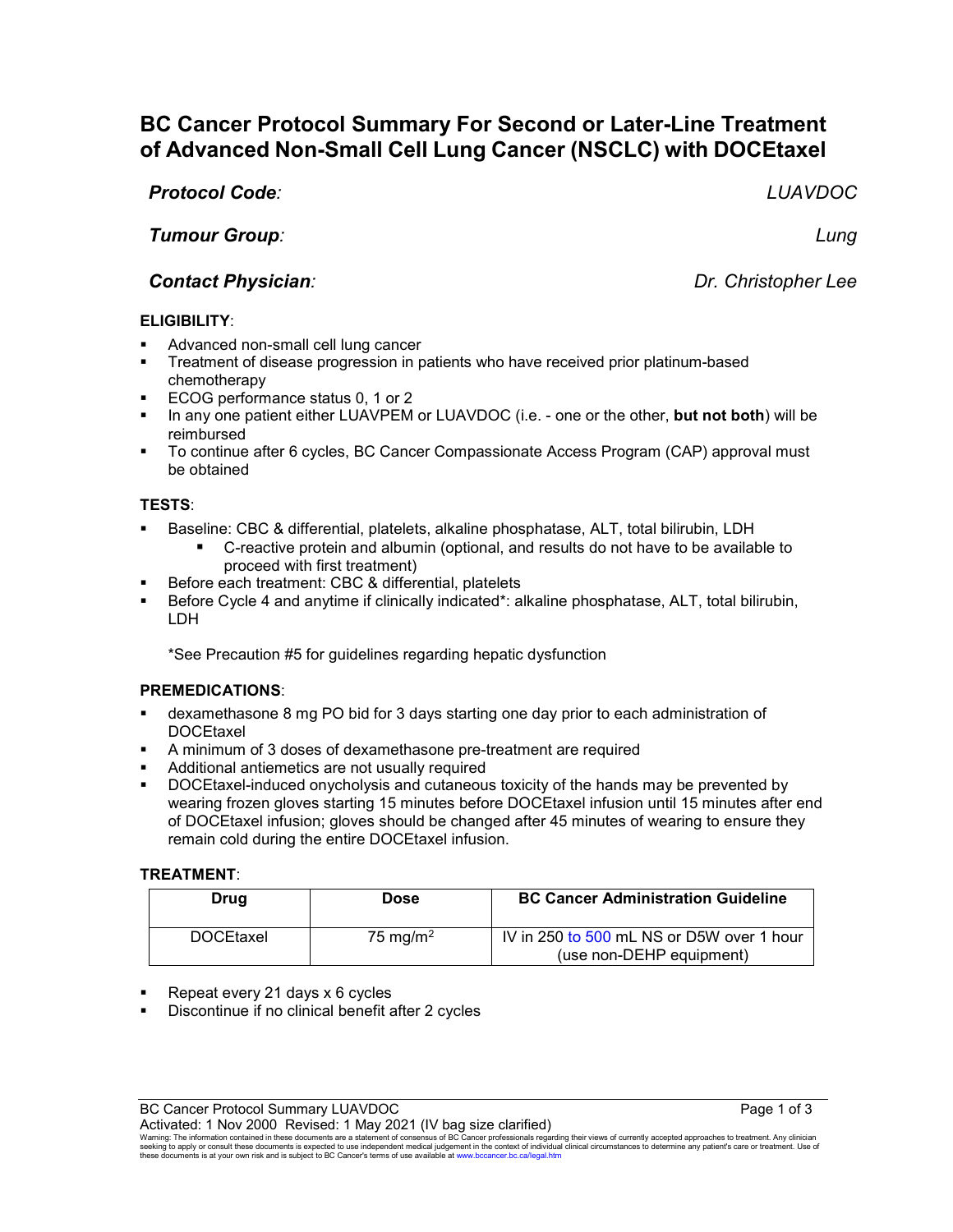# **BC Cancer Protocol Summary For Second or Later-Line Treatment of Advanced Non-Small Cell Lung Cancer (NSCLC) with DOCEtaxel**

*Protocol Code: LUAVDOC*

*Tumour Group: Lung*

# *Contact Physician: Dr. Christopher Lee*

# **ELIGIBILITY**:

- Advanced non-small cell lung cancer
- Treatment of disease progression in patients who have received prior platinum-based chemotherapy
- **ECOG performance status 0, 1 or 2**
- In any one patient either LUAVPEM or LUAVDOC (i.e. one or the other, **but not both**) will be reimbursed
- To continue after 6 cycles, BC Cancer Compassionate Access Program (CAP) approval must be obtained

### **TESTS**:

- Baseline: CBC & differential, platelets, alkaline phosphatase, ALT, total bilirubin, LDH
	- C-reactive protein and albumin (optional, and results do not have to be available to proceed with first treatment)
- Before each treatment: CBC & differential, platelets
- Before Cycle 4 and anytime if clinically indicated\*: alkaline phosphatase, ALT, total bilirubin, LDH

\*See Precaution #5 for guidelines regarding hepatic dysfunction

#### **PREMEDICATIONS**:

- dexamethasone 8 mg PO bid for 3 days starting one day prior to each administration of **DOCEtaxel**
- A minimum of 3 doses of dexamethasone pre-treatment are required
- Additional antiemetics are not usually required
- DOCEtaxel-induced onycholysis and cutaneous toxicity of the hands may be prevented by wearing frozen gloves starting 15 minutes before DOCEtaxel infusion until 15 minutes after end of DOCEtaxel infusion; gloves should be changed after 45 minutes of wearing to ensure they remain cold during the entire DOCEtaxel infusion.

#### **TREATMENT**:

| Drug             | Dose                 | <b>BC Cancer Administration Guideline</b>                             |
|------------------|----------------------|-----------------------------------------------------------------------|
| <b>DOCEtaxel</b> | 75 mg/m <sup>2</sup> | IV in 250 to 500 mL NS or D5W over 1 hour<br>(use non-DEHP equipment) |

- Repeat every 21 days x 6 cycles
- Discontinue if no clinical benefit after 2 cycles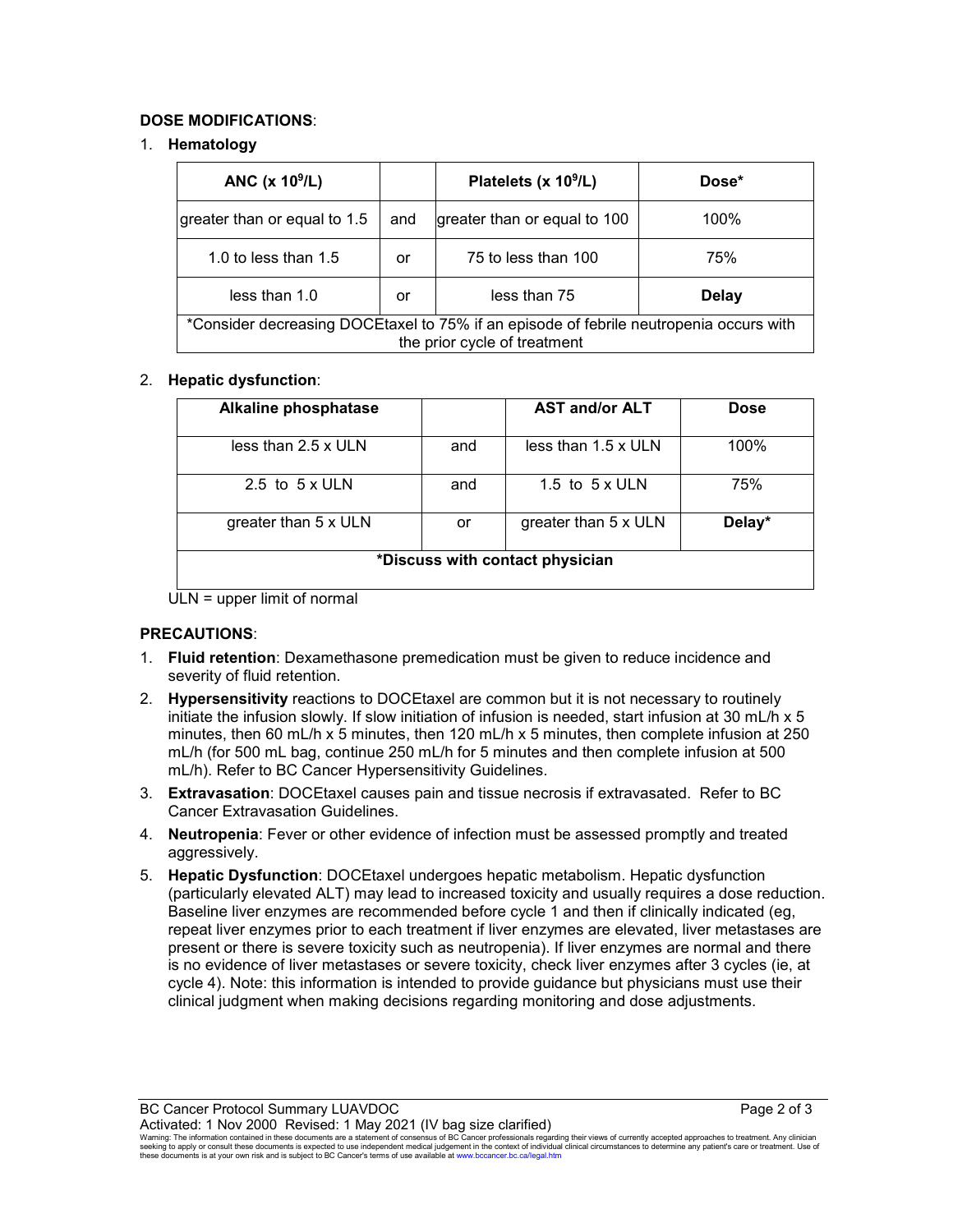### **DOSE MODIFICATIONS**:

#### 1. **Hematology**

| ANC $(x 10^9/L)$                                                                                                       |     | Platelets (x $10^9$ /L)      | Dose*        |  |  |
|------------------------------------------------------------------------------------------------------------------------|-----|------------------------------|--------------|--|--|
| greater than or equal to 1.5                                                                                           | and | greater than or equal to 100 | 100%         |  |  |
| 1.0 to less than $1.5$                                                                                                 | or  | 75 to less than 100          | 75%          |  |  |
| less than 1.0                                                                                                          | or  | less than 75                 | <b>Delay</b> |  |  |
| *Consider decreasing DOCEtaxel to 75% if an episode of febrile neutropenia occurs with<br>the prior cycle of treatment |     |                              |              |  |  |

#### 2. **Hepatic dysfunction**:

| <b>Alkaline phosphatase</b>     |     | <b>AST and/or ALT</b>      | <b>Dose</b> |  |  |
|---------------------------------|-----|----------------------------|-------------|--|--|
| less than $2.5 \times$ ULN      | and | less than $1.5 \times$ ULN | 100%        |  |  |
| 2.5 to $5 \times$ ULN           | and | 1.5 to $5 \times$ ULN      | 75%         |  |  |
| greater than 5 x ULN            | or  | greater than 5 x ULN       | Delay*      |  |  |
| *Discuss with contact physician |     |                            |             |  |  |

ULN = upper limit of normal

# **PRECAUTIONS**:

- 1. **Fluid retention**: Dexamethasone premedication must be given to reduce incidence and severity of fluid retention.
- 2. **Hypersensitivity** reactions to DOCEtaxel are common but it is not necessary to routinely initiate the infusion slowly. If slow initiation of infusion is needed, start infusion at 30 mL/h x 5 minutes, then 60 mL/h x 5 minutes, then 120 mL/h x 5 minutes, then complete infusion at 250 mL/h (for 500 mL bag, continue 250 mL/h for 5 minutes and then complete infusion at 500 mL/h). Refer to BC Cancer Hypersensitivity Guidelines.
- 3. **Extravasation**: DOCEtaxel causes pain and tissue necrosis if extravasated. Refer to BC Cancer Extravasation Guidelines.
- 4. **Neutropenia**: Fever or other evidence of infection must be assessed promptly and treated aggressively.
- 5. **Hepatic Dysfunction**: DOCEtaxel undergoes hepatic metabolism. Hepatic dysfunction (particularly elevated ALT) may lead to increased toxicity and usually requires a dose reduction. Baseline liver enzymes are recommended before cycle 1 and then if clinically indicated (eg, repeat liver enzymes prior to each treatment if liver enzymes are elevated, liver metastases are present or there is severe toxicity such as neutropenia). If liver enzymes are normal and there is no evidence of liver metastases or severe toxicity, check liver enzymes after 3 cycles (ie, at cycle 4). Note: this information is intended to provide guidance but physicians must use their clinical judgment when making decisions regarding monitoring and dose adjustments.

BC Cancer Protocol Summary LUAVDOC **Page 2 of 3** 

Activated: 1 Nov 2000 Revised: 1 May 2021 (IV bag size clarified)<br>Warning: The information contained in these documents are a statement of consensus of BC Cancer professionals regarding their views of currently accepted ap